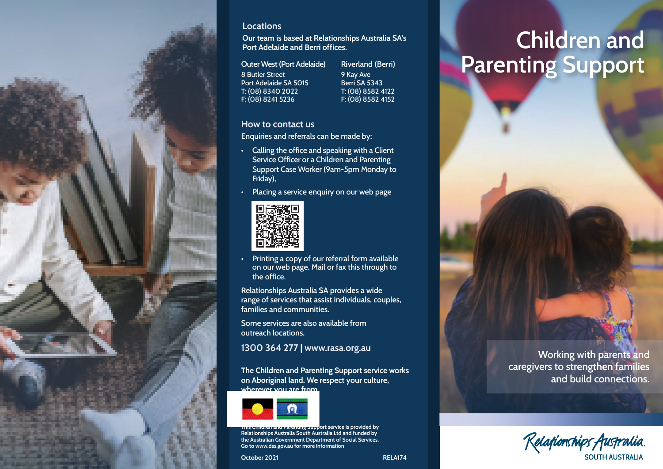

#### **Locations**

**Our team is based at Relationships Australia SA's Port Adelaide and Berri offices.**

**Outer West (Port Adelaide)** 8 Butler Street Port Adelaide SA 5015 T: (08) 8340 2022 F: (08) 8241 5236

**Riverland (Berri)**  9 Kay Ave Berri SA 5343 T: (08) 8582 4122 F: (08) 8582 4152

#### **How to contact us**

Enquiries and referrals can be made by:

- Calling the office and speaking with a Client Service Officer or a Children and Parenting Support Case Worker (9am-5pm Monday to Friday),
- Placing a service enquiry on our web page



• Printing a copy of our referral form available on our web page. Mail or fax this through to the office.

**Relationships Australia SA provides a wide range of services that assist individuals, couples, families and communities.** 

**Some services are also available from outreach locations.** 

**1300 364 277 | www.rasa.org.au**

**The Children and Parenting Support service works on Aboriginal land. We respect your culture, wherever you are from.**



**This Children and Parenting Support service is provided by Relationships Australia South Australia Ltd and funded by the Australian Government Department of Social Services. Go to www.dss.gov.au for more information**

**October 2021 RELA174** 

# **Parenting Support Children and**

**counselling**

**Working with parents and caregivers to strengthen families and build connections.**